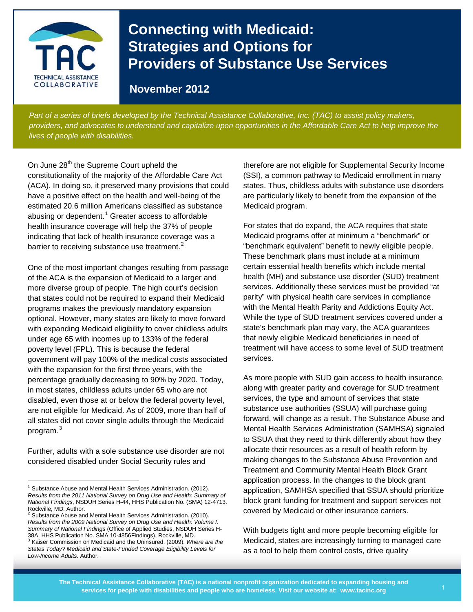

# **Connecting with Medicaid: Strategies and Options for Providers of Substance Use Services**

**November 2012**

*Part of a series of briefs developed by the Technical Assistance Collaborative, Inc. (TAC) to assist policy makers, providers, and advocates to understand and capitalize upon opportunities in the Affordable Care Act to help improve the lives of people with disabilities.*

On June 28<sup>th</sup> the Supreme Court upheld the constitutionality of the majority of the Affordable Care Act (ACA). In doing so, it preserved many provisions that could have a positive effect on the health and well-being of the estimated 20.6 million Americans classified as substance abusing or dependent.<sup>[1](#page-0-0)</sup> Greater access to affordable health insurance coverage will help the 37% of people indicating that lack of health insurance coverage was a barrier to receiving substance use treatment.<sup>[2](#page-0-1)</sup>

One of the most important changes resulting from passage of the ACA is the expansion of Medicaid to a larger and more diverse group of people. The high court's decision that states could not be required to expand their Medicaid programs makes the previously mandatory expansion optional. However, many states are likely to move forward with expanding Medicaid eligibility to cover childless adults under age 65 with incomes up to 133% of the federal poverty level (FPL). This is because the federal government will pay 100% of the medical costs associated with the expansion for the first three years, with the percentage gradually decreasing to 90% by 2020. Today, in most states, childless adults under 65 who are not disabled, even those at or below the federal poverty level, are not eligible for Medicaid. As of 2009, more than half of all states did not cover single adults through the Medicaid program. $^3$  $^3$ 

Further, adults with a sole substance use disorder are not considered disabled under Social Security rules and

j

therefore are not eligible for Supplemental Security Income (SSI), a common pathway to Medicaid enrollment in many states. Thus, childless adults with substance use disorders are particularly likely to benefit from the expansion of the Medicaid program.

For states that do expand, the ACA requires that state Medicaid programs offer at minimum a "benchmark" or "benchmark equivalent" benefit to newly eligible people. These benchmark plans must include at a minimum certain essential health benefits which include mental health (MH) and substance use disorder (SUD) treatment services. Additionally these services must be provided "at parity" with physical health care services in compliance with the Mental Health Parity and Addictions Equity Act. While the type of SUD treatment services covered under a state's benchmark plan may vary, the ACA guarantees that newly eligible Medicaid beneficiaries in need of treatment will have access to some level of SUD treatment services.

As more people with SUD gain access to health insurance, along with greater parity and coverage for SUD treatment services, the type and amount of services that state substance use authorities (SSUA) will purchase going forward, will change as a result. The Substance Abuse and Mental Health Services Administration (SAMHSA) signaled to SSUA that they need to think differently about how they allocate their resources as a result of health reform by making changes to the Substance Abuse Prevention and Treatment and Community Mental Health Block Grant application process. In the changes to the block grant application, SAMHSA specified that SSUA should prioritize block grant funding for treatment and support services not covered by Medicaid or other insurance carriers.

With budgets tight and more people becoming eligible for Medicaid, states are increasingly turning to managed care as a tool to help them control costs, drive quality

<span id="page-0-0"></span> $1$  Substance Abuse and Mental Health Services Administration. (2012). *Results from the 2011 National Survey on Drug Use and Health: Summary of National Findings*, NSDUH Series H-44, HHS Publication No. (SMA) 12-4713. Rockville, MD: Author.

<span id="page-0-2"></span><span id="page-0-1"></span><sup>&</sup>lt;sup>2</sup> Substance Abuse and Mental Health Services Administration. (2010). *Results from the 2009 National Survey on Drug Use and Health: Volume I. Summary of National Findings* (Office of Applied Studies, NSDUH Series H-38A, HHS Publication No. SMA 10-4856Findings). Rockville, MD. <sup>3</sup> Kaiser Commission on Medicaid and the Uninsured. (2009). *Where are the States Today? Medicaid and State‐Funded Coverage Eligibility Levels for Low‐Income Adults.* Author.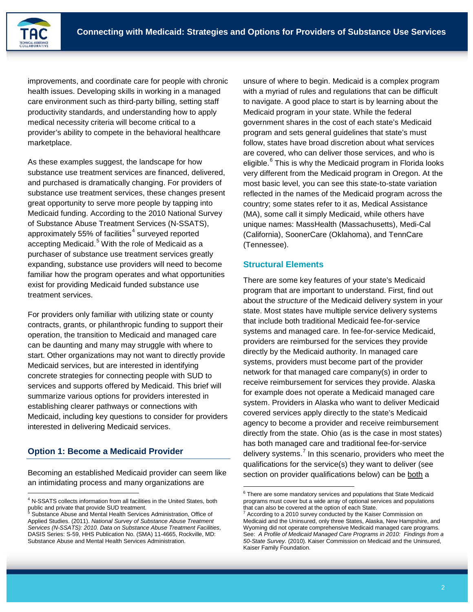improvements, and coordinate care for people with chronic health issues. Developing skills in working in a managed care environment such as third-party billing, setting staff productivity standards, and understanding how to apply medical necessity criteria will become critical to a provider's ability to compete in the behavioral healthcare marketplace.

As these examples suggest, the landscape for how substance use treatment services are financed, delivered, and purchased is dramatically changing. For providers of substance use treatment services, these changes present great opportunity to serve more people by tapping into Medicaid funding. According to the 2010 National Survey of Substance Abuse Treatment Services (N-SSATS), approximately 55% of facilities<sup>[4](#page-1-0)</sup> surveyed reported accepting Medicaid.<sup>[5](#page-1-1)</sup> With the role of Medicaid as a purchaser of substance use treatment services greatly expanding, substance use providers will need to become familiar how the program operates and what opportunities exist for providing Medicaid funded substance use treatment services.

For providers only familiar with utilizing state or county contracts, grants, or philanthropic funding to support their operation, the transition to Medicaid and managed care can be daunting and many may struggle with where to start. Other organizations may not want to directly provide Medicaid services, but are interested in identifying concrete strategies for connecting people with SUD to services and supports offered by Medicaid. This brief will summarize various options for providers interested in establishing clearer pathways or connections with Medicaid, including key questions to consider for providers interested in delivering Medicaid services.

# **Option 1: Become a Medicaid Provider**

-

Becoming an established Medicaid provider can seem like an intimidating process and many organizations are

unsure of where to begin. Medicaid is a complex program with a myriad of rules and regulations that can be difficult to navigate. A good place to start is by learning about the Medicaid program in your state. While the federal government shares in the cost of each state's Medicaid program and sets general guidelines that state's must follow, states have broad discretion about what services are covered, who can deliver those services, and who is eligible.<sup>[6](#page-1-2)</sup> This is why the Medicaid program in Florida looks very different from the Medicaid program in Oregon. At the most basic level, you can see this state-to-state variation reflected in the names of the Medicaid program across the country; some states refer to it as, Medical Assistance (MA), some call it simply Medicaid, while others have unique names: MassHealth (Massachusetts), Medi-Cal (California), SoonerCare (Oklahoma), and TennCare (Tennessee).

### **Structural Elements**

to understand and capitalize upon opportunities in the ACA to help improve the lives of people with disabilities. Page 2

j

There are some key features of your state's Medicaid program that are important to understand. First, find out about the *structure* of the Medicaid delivery system in your state. Most states have multiple service delivery systems that include both traditional Medicaid fee-for-service systems and managed care. In fee-for-service Medicaid, providers are reimbursed for the services they provide directly by the Medicaid authority. In managed care systems, providers must become part of the provider network for that managed care company(s) in order to receive reimbursement for services they provide. Alaska for example does not operate a Medicaid managed care system. Providers in Alaska who want to deliver Medicaid covered services apply directly to the state's Medicaid agency to become a provider and receive reimbursement directly from the state. Ohio (as is the case in most states) has both managed care and traditional fee-for-service delivery systems.<sup>[7](#page-1-1)</sup> In this scenario, providers who meet the qualifications for the service(s) they want to deliver (see section on provider qualifications below) can be both a

<span id="page-1-2"></span><span id="page-1-0"></span><sup>&</sup>lt;sup>4</sup> N-SSATS collects information from all facilities in the United States, both public and private that provide SUD treatment.

<span id="page-1-1"></span><sup>5</sup> Substance Abuse and Mental Health Services Administration, Office of Applied Studies. (2011). *National Survey of Substance Abuse Treatment Services (N-SSATS): 2010. Data on Substance Abuse Treatment Facilities*, DASIS Series: S-59, HHS Publication No. (SMA) 11-4665, Rockville, MD: Substance Abuse and Mental Health Services Administration.

<sup>&</sup>lt;sup>6</sup> There are some mandatory services and populations that State Medicaid programs must cover but a wide array of optional services and populations that can also be covered at the option of each State.

According to a 2010 survey conducted by the Kaiser Commission on Medicaid and the Uninsured, only three States, Alaska, New Hampshire, and Wyoming did not operate comprehensive Medicaid managed care programs. See: *A Profile of Medicaid Managed Care Programs in 2010: Findings from a 50-State Survey.* (2010). Kaiser Commission on Medicaid and the Uninsured, Kaiser Family Foundation.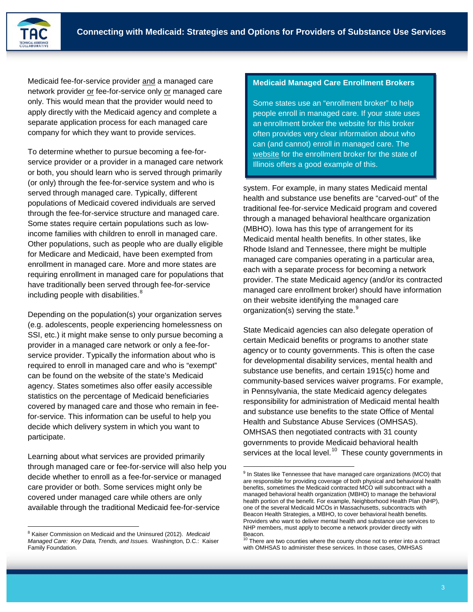Medicaid fee-for-service provider and a managed care network provider or fee-for-service only or managed care only. This would mean that the provider would need to apply directly with the Medicaid agency and complete a separate application process for each managed care company for which they want to provide services.

To determine whether to pursue becoming a fee-forservice provider or a provider in a managed care network or both, you should learn who is served through primarily (or only) through the fee-for-service system and who is served through managed care. Typically, different populations of Medicaid covered individuals are served through the fee-for-service structure and managed care. Some states require certain populations such as lowincome families with children to enroll in managed care. Other populations, such as people who are dually eligible for Medicare and Medicaid, have been exempted from enrollment in managed care. More and more states are requiring enrollment in managed care for populations that have traditionally been served through fee-for-service including people with disabilities. $8$ 

Depending on the population(s) your organization serves (e.g. adolescents, people experiencing homelessness on SSI, etc.) it might make sense to only pursue becoming a provider in a managed care network or only a fee-forservice provider. Typically the information about who is required to enroll in managed care and who is "exempt" can be found on the website of the state's Medicaid agency. States sometimes also offer easily accessible statistics on the percentage of Medicaid beneficiaries covered by managed care and those who remain in feefor-service. This information can be useful to help you decide which delivery system in which you want to participate.

<span id="page-2-1"></span>Learning about what services are provided primarily through managed care or fee-for-service will also help you decide whether to enroll as a fee-for-service or managed care provider or both. Some services might only be covered under managed care while others are only available through the traditional Medicaid fee-for-service

-

#### **Medicaid Managed Care Enrollment Brokers**

Some states use an "enrollment broker" to help people enroll in managed care. If your state uses an enrollment broker the website for this broker often provides very clear information about who can (and cannot) enroll in managed care. The [website](http://www.illinoisceb.com/whomustenroll.aspx) for the enrollment broker for the state of Illinois offers a good example of this.

system. For example, in many states Medicaid mental health and substance use benefits are "carved-out" of the traditional fee-for-service Medicaid program and covered through a managed behavioral healthcare organization (MBHO). Iowa has this type of arrangement for its Medicaid mental health benefits. In other states, like Rhode Island and Tennessee, there might be multiple managed care companies operating in a particular area, each with a separate process for becoming a network provider. The state Medicaid agency (and/or its contracted managed care enrollment broker) should have information on their website identifying the managed care organization(s) serving the state. $9$ 

State Medicaid agencies can also delegate operation of certain Medicaid benefits or programs to another state agency or to county governments. This is often the case for developmental disability services, mental health and substance use benefits, and certain 1915(c) home and community-based services waiver programs. For example, in Pennsylvania, the state Medicaid agency delegates responsibility for administration of Medicaid mental health and substance use benefits to the state Office of Mental Health and Substance Abuse Services (OMHSAS). OMHSAS then negotiated contracts with 31 county governments to provide Medicaid behavioral health services at the local level.<sup>[10](#page-2-2)</sup> These county governments in

to understand and capitalize upon opportunities in the ACA to help improve the lives of people with disabilities. Page 3

-

<span id="page-2-2"></span><span id="page-2-0"></span><sup>8</sup> Kaiser Commission on Medicaid and the Uninsured (2012). *Medicaid Managed Care: Key Data, Trends, and Issues.* Washington, D.C.: Kaiser Family Foundation.

<sup>&</sup>lt;sup>9</sup> In States like Tennessee that have managed care organizations (MCO) that are responsible for providing coverage of both physical and behavioral health benefits, sometimes the Medicaid contracted MCO will subcontract with a managed behavioral health organization (MBHO) to manage the behavioral health portion of the benefit. For example, Neighborhood Health Plan (NHP), one of the several Medicaid MCOs in Massachusetts, subcontracts with Beacon Health Strategies, a MBHO, to cover behavioral health benefits. Providers who want to deliver mental health and substance use services to NHP members, must apply to become a network provider directly with Beacon.

 $10$  There are two counties where the county chose not to enter into a contract with OMHSAS to administer these services. In those cases, OMHSAS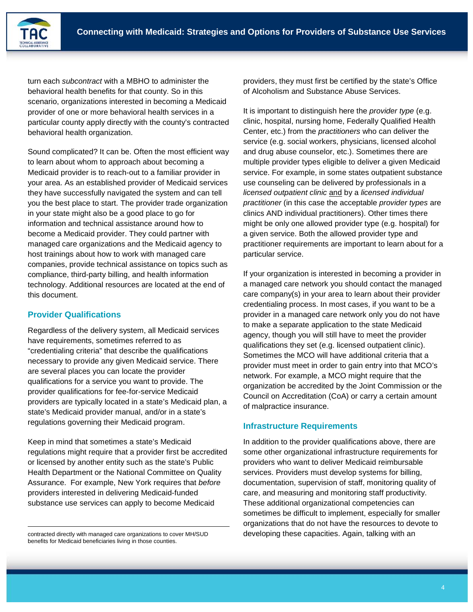turn each *subcontract* with a MBHO to administer the behavioral health benefits for that county. So in this scenario, organizations interested in becoming a Medicaid provider of one or more behavioral health services in a particular county apply directly with the county's contracted behavioral health organization.

Sound complicated? It can be. Often the most efficient way to learn about whom to approach about becoming a Medicaid provider is to reach-out to a familiar provider in your area. As an established provider of Medicaid services they have successfully navigated the system and can tell you the best place to start. The provider trade organization in your state might also be a good place to go for information and technical assistance around how to become a Medicaid provider. They could partner with managed care organizations and the Medicaid agency to host trainings about how to work with managed care companies, provide technical assistance on topics such as compliance, third-party billing, and health information technology. Additional resources are located at the end of this document.

# **Provider Qualifications**

-

Regardless of the delivery system, all Medicaid services have requirements, sometimes referred to as "credentialing criteria" that describe the qualifications necessary to provide any given Medicaid service. There are several places you can locate the provider qualifications for a service you want to provide. The provider qualifications for fee-for-service Medicaid providers are typically located in a state's Medicaid plan, a state's Medicaid provider manual, and/or in a state's regulations governing their Medicaid program.

Keep in mind that sometimes a state's Medicaid regulations might require that a provider first be accredited or licensed by another entity such as the state's Public Health Department or the National Committee on Quality Assurance. For example, New York requires that *before* providers interested in delivering Medicaid-funded substance use services can apply to become Medicaid

contracted directly with managed care organizations to cover MH/SUD benefits for Medicaid beneficiaries living in those counties.

providers, they must first be certified by the state's Office of Alcoholism and Substance Abuse Services.

It is important to distinguish here the *provider type* (e.g. clinic, hospital, nursing home, Federally Qualified Health Center, etc.) from the *practitioners* who can deliver the service (e.g. social workers, physicians, licensed alcohol and drug abuse counselor, etc.). Sometimes there are multiple provider types eligible to deliver a given Medicaid service. For example, in some states outpatient substance use counseling can be delivered by professionals in a *licensed outpatient clinic* and by a *licensed individual practitioner* (in this case the acceptable *provider types* are clinics AND individual practitioners). Other times there might be only one allowed provider type (e.g. hospital) for a given service. Both the allowed provider type and practitioner requirements are important to learn about for a particular service.

If your organization is interested in becoming a provider in a managed care network you should contact the managed care company(s) in your area to learn about their provider credentialing process. In most cases, if you want to be a provider in a managed care network only you do not have to make a separate application to the state Medicaid agency, though you will still have to meet the provider qualifications they set (e.g. licensed outpatient clinic). Sometimes the MCO will have additional criteria that a provider must meet in order to gain entry into that MCO's network. For example, a MCO might require that the organization be accredited by the Joint Commission or the Council on Accreditation (CoA) or carry a certain amount of malpractice insurance.

### **Infrastructure Requirements**

to understand and capitalize upon opportunities in the ACA to help improve the lives of people with disabilities. Page 4

In addition to the provider qualifications above, there are some other organizational infrastructure requirements for providers who want to deliver Medicaid reimbursable services. Providers must develop systems for billing, documentation, supervision of staff, monitoring quality of care, and measuring and monitoring staff productivity. These additional organizational competencies can sometimes be difficult to implement, especially for smaller organizations that do not have the resources to devote to developing these capacities. Again, talking with an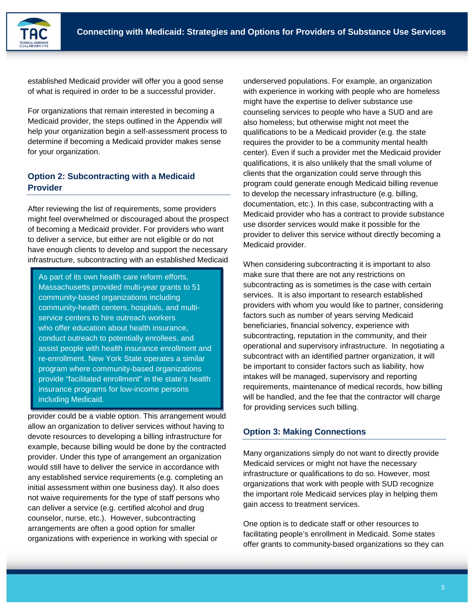

established Medicaid provider will offer you a good sense of what is required in order to be a successful provider.

For organizations that remain interested in becoming a Medicaid provider, the steps outlined in the Appendix will help your organization begin a self-assessment process to determine if becoming a Medicaid provider makes sense for your organization.

# **Option 2: Subcontracting with a Medicaid Provider**

After reviewing the list of requirements, some providers might feel overwhelmed or discouraged about the prospect of becoming a Medicaid provider. For providers who want to deliver a service, but either are not eligible or do not have enough clients to develop and support the necessary infrastructure, subcontracting with an established Medicaid

As part of its own health care reform efforts, Massachusetts provided multi-year grants to 51 community-based organizations including community-health centers, hospitals, and multiservice centers to hire outreach workers who offer education about health insurance, conduct outreach to potentially enrollees, and assist people with health insurance enrollment and re-enrollment. New York State operates a similar program where community-based organizations provide "facilitated enrollment" in the state's health insurance programs for low-income persons including Medicaid.

provider could be a viable option. This arrangement would allow an organization to deliver services without having to devote resources to developing a billing infrastructure for example, because billing would be done by the contracted provider. Under this type of arrangement an organization would still have to deliver the service in accordance with any established service requirements (e.g. completing an initial assessment within one business day). It also does not waive requirements for the type of staff persons who can deliver a service (e.g. certified alcohol and drug counselor, nurse, etc.). However, subcontracting arrangements are often a good option for smaller organizations with experience in working with special or

underserved populations. For example, an organization with experience in working with people who are homeless might have the expertise to deliver substance use counseling services to people who have a SUD and are also homeless; but otherwise might not meet the qualifications to be a Medicaid provider (e.g. the state requires the provider to be a community mental health center). Even if such a provider met the Medicaid provider qualifications, it is also unlikely that the small volume of clients that the organization could serve through this program could generate enough Medicaid billing revenue to develop the necessary infrastructure (e.g. billing, documentation, etc.). In this case, subcontracting with a Medicaid provider who has a contract to provide substance use disorder services would make it possible for the provider to deliver this service without directly becoming a Medicaid provider.

When considering subcontracting it is important to also make sure that there are not any restrictions on subcontracting as is sometimes is the case with certain services. It is also important to research established providers with whom you would like to partner, considering factors such as number of years serving Medicaid beneficiaries, financial solvency, experience with subcontracting, reputation in the community, and their operational and supervisory infrastructure. In negotiating a subcontract with an identified partner organization, it will be important to consider factors such as liability, how intakes will be managed, supervisory and reporting requirements, maintenance of medical records, how billing will be handled, and the fee that the contractor will charge for providing services such billing.

# **Option 3: Making Connections**

to understand and capitalize upon opportunities in the ACA to help improve the lives of people with disabilities. Page 5

Many organizations simply do not want to directly provide Medicaid services or might not have the necessary infrastructure or qualifications to do so. However, most organizations that work with people with SUD recognize the important role Medicaid services play in helping them gain access to treatment services.

One option is to dedicate staff or other resources to facilitating people's enrollment in Medicaid. Some states offer grants to community-based organizations so they can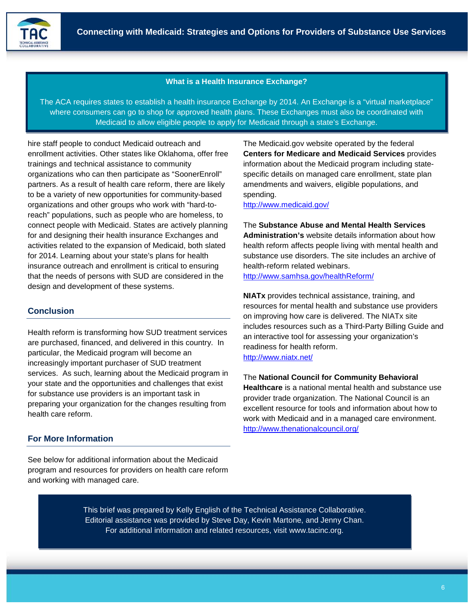

#### **What is a Health Insurance Exchange?**

The ACA requires states to establish a health insurance Exchange by 2014. An Exchange is a "virtual marketplace" where consumers can go to shop for approved health plans. These Exchanges must also be coordinated with Medicaid to allow eligible people to apply for Medicaid through a state's Exchange.

hire staff people to conduct Medicaid outreach and enrollment activities. Other states like Oklahoma, offer free trainings and technical assistance to community organizations who can then participate as "SoonerEnroll" partners. As a result of health care reform, there are likely to be a variety of new opportunities for community-based organizations and other groups who work with "hard-toreach" populations, such as people who are homeless, to connect people with Medicaid. States are actively planning for and designing their health insurance Exchanges and activities related to the expansion of Medicaid, both slated for 2014. Learning about your state's plans for health insurance outreach and enrollment is critical to ensuring that the needs of persons with SUD are considered in the design and development of these systems.

### **Conclusion**

Health reform is transforming how SUD treatment services are purchased, financed, and delivered in this country. In particular, the Medicaid program will become an increasingly important purchaser of SUD treatment services. As such, learning about the Medicaid program in your state and the opportunities and challenges that exist for substance use providers is an important task in preparing your organization for the changes resulting from health care reform.

### **For More Information**

See below for additional information about the Medicaid program and resources for providers on health care reform and working with managed care.

The Medicaid.gov website operated by the federal **Centers for Medicare and Medicaid Services** provides information about the Medicaid program including statespecific details on managed care enrollment, state plan amendments and waivers, eligible populations, and spending.

<http://www.medicaid.gov/>

The **Substance Abuse and Mental Health Services Administration's** website details information about how health reform affects people living with mental health and substance use disorders. The site includes an archive of health-reform related webinars. <http://www.samhsa.gov/healthReform/>

**NIATx** provides technical assistance, training, and resources for mental health and substance use providers on improving how care is delivered. The NIATx site includes resources such as a Third-Party Billing Guide and an interactive tool for assessing your organization's readiness for health reform. <http://www.niatx.net/>

The **National Council for Community Behavioral Healthcare** is a national mental health and substance use provider trade organization. The National Council is an excellent resource for tools and information about how to work with Medicaid and in a managed care environment. <http://www.thenationalcouncil.org/>

This brief was prepared by Kelly English of the Technical Assistance Collaborative. Editorial assistance was provided by Steve Day, Kevin Martone, and Jenny Chan. For additional information and related resources, visit www.tacinc.org.

to understand and capitalize upon opportunities in the ACA to help improve the lives of people with disabilities. Page 6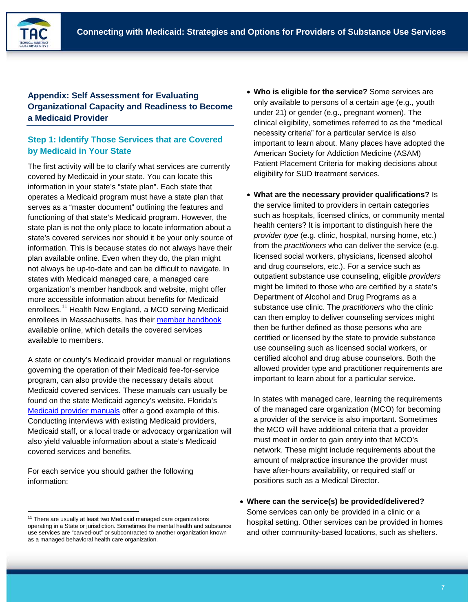# **Appendix: Self Assessment for Evaluating Organizational Capacity and Readiness to Become a Medicaid Provider**

### **Step 1: Identify Those Services that are Covered by Medicaid in Your State**

The first activity will be to clarify what services are currently covered by Medicaid in your state. You can locate this information in your state's "state plan". Each state that operates a Medicaid program must have a state plan that serves as a "master document" outlining the features and functioning of that state's Medicaid program. However, the state plan is not the only place to locate information about a state's covered services nor should it be your only source of information. This is because states do not always have their plan available online. Even when they do, the plan might not always be up-to-date and can be difficult to navigate. In states with Medicaid managed care, a managed care organization's member handbook and website, might offer more accessible information about benefits for Medicaid enrollees.<sup>[11](#page-6-0)</sup> Health New England, a MCO serving Medicaid enrollees in Massachusetts, has their [member handbook](http://www.healthnewengland.com/masshealth/MemberHandbook/HNEMemberHandbookwcovserlists7-8-10.pdf) available online, which details the covered services available to members.

A state or county's Medicaid provider manual or regulations governing the operation of their Medicaid fee-for-service program, can also provide the necessary details about Medicaid covered services. These manuals can usually be found on the state Medicaid agency's website. Florida's [Medicaid provider manuals](http://portal.flmmis.com/FLPublic/Provider_ProviderSupport/Provider_ProviderSupport_ProviderHandbooks/tabId/42/Default.aspx) offer a good example of this. Conducting interviews with existing Medicaid providers, Medicaid staff, or a local trade or advocacy organization will also yield valuable information about a state's Medicaid covered services and benefits.

For each service you should gather the following information:

-

- **Who is eligible for the service?** Some services are only available to persons of a certain age (e.g., youth under 21) or gender (e.g., pregnant women). The clinical eligibility, sometimes referred to as the "medical necessity criteria" for a particular service is also important to learn about. Many places have adopted the American Society for Addiction Medicine (ASAM) Patient Placement Criteria for making decisions about eligibility for SUD treatment services.
- **What are the necessary provider qualifications?** Is the service limited to providers in certain categories such as hospitals, licensed clinics, or community mental health centers? It is important to distinguish here the *provider type* (e.g. clinic, hospital, nursing home, etc.) from the *practitioners* who can deliver the service (e.g. licensed social workers, physicians, licensed alcohol and drug counselors, etc.). For a service such as outpatient substance use counseling, eligible *providers* might be limited to those who are certified by a state's Department of Alcohol and Drug Programs as a substance use clinic. The *practitioners* who the clinic can then employ to deliver counseling services might then be further defined as those persons who are certified or licensed by the state to provide substance use counseling such as licensed social workers, or certified alcohol and drug abuse counselors. Both the allowed provider type and practitioner requirements are important to learn about for a particular service.

In states with managed care, learning the requirements of the managed care organization (MCO) for becoming a provider of the service is also important. Sometimes the MCO will have additional criteria that a provider must meet in order to gain entry into that MCO's network. These might include requirements about the amount of malpractice insurance the provider must have after-hours availability, or required staff or positions such as a Medical Director.

• **Where can the service(s) be provided/delivered?** Some services can only be provided in a clinic or a hospital setting. Other services can be provided in homes and other community-based locations, such as shelters.

<span id="page-6-0"></span> $11$  There are usually at least two Medicaid managed care organizations operating in a State or jurisdiction. Sometimes the mental health and substance use services are "carved-out" or subcontracted to another organization known as a managed behavioral health care organization.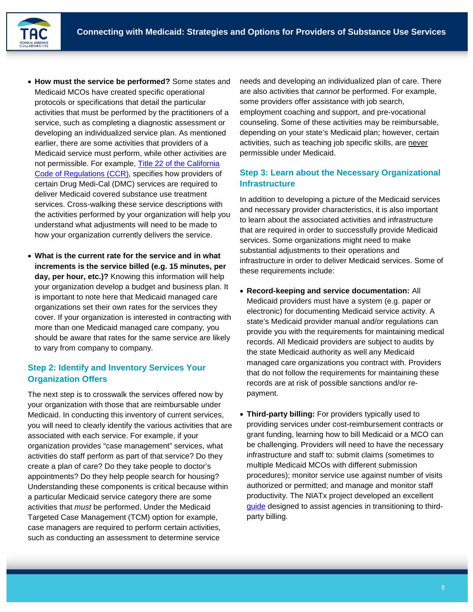

- **How must the service be performed?** Some states and Medicaid MCOs have created specific operational protocols or specifications that detail the particular activities that must be performed by the practitioners of a service, such as completing a diagnostic assessment or developing an individualized service plan. As mentioned earlier, there are some activities that providers of a Medicaid service must perform, while other activities are not permissible. For example, Title 22 of the California [Code of Regulations \(CCR\),](http://www.adp.cahwnet.gov/licensing/pdf/51341.1.pdf) specifies how providers of certain Drug Medi-Cal (DMC) services are required to deliver Medicaid covered substance use treatment services. Cross-walking these service descriptions with the activities performed by your organization will help you understand what adjustments will need to be made to how your organization currently delivers the service.
- **What is the current rate for the service and in what increments is the service billed (e.g. 15 minutes, per day, per hour, etc.)?** Knowing this information will help your organization develop a budget and business plan. It is important to note here that Medicaid managed care organizations set their own rates for the services they cover. If your organization is interested in contracting with more than one Medicaid managed care company, you should be aware that rates for the same service are likely to vary from company to company.

### **Step 2: Identify and Inventory Services Your Organization Offers**

The next step is to crosswalk the services offered now by your organization with those that are reimbursable under Medicaid. In conducting this inventory of current services, you will need to clearly identify the various activities that are associated with each service. For example, if your organization provides "case management" services, what activities do staff perform as part of that service? Do they create a plan of care? Do they take people to doctor's appointments? Do they help people search for housing? Understanding these components is critical because within a particular Medicaid service category there are some activities that *must* be performed. Under the Medicaid Targeted Case Management (TCM) option for example, case managers are required to perform certain activities, such as conducting an assessment to determine service

needs and developing an individualized plan of care. There are also activities that *cannot* be performed. For example, some providers offer assistance with job search, employment coaching and support, and pre-vocational counseling. Some of these activities may be reimbursable, depending on your state's Medicaid plan; however, certain activities, such as teaching job specific skills, are never permissible under Medicaid.

# **Step 3: Learn about the Necessary Organizational Infrastructure**

In addition to developing a picture of the Medicaid services and necessary provider characteristics, it is also important to learn about the associated activities and infrastructure that are required in order to successfully provide Medicaid services. Some organizations might need to make substantial adjustments to their operations and infrastructure in order to deliver Medicaid services. Some of these requirements include:

- **Record-keeping and service documentation:** All Medicaid providers must have a system (e.g. paper or electronic) for documenting Medicaid service activity. A state's Medicaid provider manual and/or regulations can provide you with the requirements for maintaining medical records. All Medicaid providers are subject to audits by the state Medicaid authority as well any Medicaid managed care organizations you contract with. Providers that do not follow the requirements for maintaining these records are at risk of possible sanctions and/or repayment.
- **Third-party billing:** For providers typically used to providing services under cost-reimbursement contracts or grant funding, learning how to bill Medicaid or a MCO can be challenging. Providers will need to have the necessary infrastructure and staff to: submit claims (sometimes to multiple Medicaid MCOs with different submission procedures); monitor service use against number of visits authorized or permitted; and manage and monitor staff productivity. The NIATx project developed an excellent [guide](http://www.niatx.net/PDF/BillingGuide/2011NIATx_Third-partyBGuideLR.pdf) designed to assist agencies in transitioning to thirdparty billing.